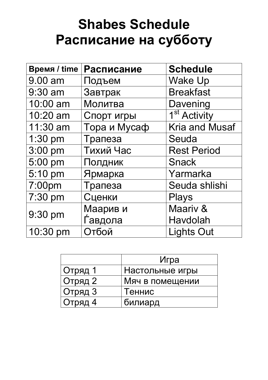## **Shabes Schedule Расписание на субботу**

| <b>Время / time</b> | Расписание   | <b>Schedule</b>          |  |  |
|---------------------|--------------|--------------------------|--|--|
| 9.00 am             | Подъем       | <b>Wake Up</b>           |  |  |
| 9:30 am             | Завтрак      | <b>Breakfast</b>         |  |  |
| 10:00 am            | Молитва      | Davening                 |  |  |
| 10:20 am            | Спорт игры   | 1 <sup>st</sup> Activity |  |  |
| 11:30 am            | Тора и Мусаф | <b>Kria and Musaf</b>    |  |  |
| 1:30 pm             | Трапеза      | Seuda                    |  |  |
| $3:00$ pm           | Тихий Час    | <b>Rest Period</b>       |  |  |
| 5:00 pm             | Полдник      | <b>Snack</b>             |  |  |
| 5:10 pm             | Ярмарка      | Yarmarka                 |  |  |
| 7:00pm              | Трапеза      | Seuda shlishi            |  |  |
| 7:30 pm             | Сценки       | <b>Plays</b>             |  |  |
|                     | Маарив и     | Maariv &                 |  |  |
| 9:30 pm             | Ѓавдола      | Havdolah                 |  |  |
| 10:30 pm            | Отбой        | <b>Lights Out</b>        |  |  |

|         | Игра            |
|---------|-----------------|
| Отряд 1 | Настольные игры |
| Отряд 2 | Мяч в помещении |
| Отряд 3 | Теннис          |
| Отряд 4 | билиард         |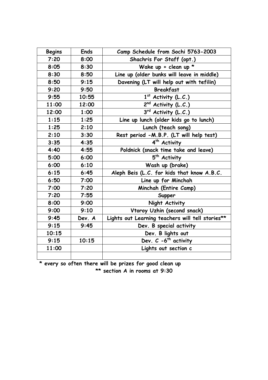| <b>Begins</b> | <b>Ends</b> | Camp Schedule from Sochi 5763-2003               |  |
|---------------|-------------|--------------------------------------------------|--|
| 7:20          | 8:00        | Shachris For Staff (opt.)                        |  |
| 8:05          | 8:30        | Wake up + clean up $*$                           |  |
| 8:30          | 8:50        | Line up (older bunks will leave in middle)       |  |
| 8:50          | 9:15        | Davening (LT will help out with tefilin)         |  |
| 9:20          | 9:50        | <b>Breakfast</b>                                 |  |
| 9:55          | 10:55       | $1st$ Activity (L.C.)                            |  |
| 11:00         | 12:00       | 2nd Activity (L.C.)                              |  |
| 12:00         | 1:00        | 3rd Activity (L.C.)                              |  |
| 1:15          | 1:25        | Line up lunch (older kids go to lunch)           |  |
| 1:25          | 2:10        | Lunch (teach song)                               |  |
| 2:10          | 3:30        | Rest period -M.B.P. (LT will help test)          |  |
| 3:35          | 4:35        | 4 <sup>th</sup> Activity                         |  |
| 4:40          | 4:55        | Poldnick (snack time take and leave)             |  |
| 5:00          | 6:00        | 5 <sup>th</sup> Activity                         |  |
| 6:00          | 6:10        | Wash up (brake)                                  |  |
| 6:15          | 6:45        | Aleph Beis (L.C. for kids that know A.B.C.       |  |
| 6:50          | 7:00        | Line up for Minchah                              |  |
| 7:00          | 7:20        | Minchah (Entire Camp)                            |  |
| 7:20          | 7:55        | Supper                                           |  |
| 8:00          | 9:00        | Night Activity                                   |  |
| 9:00          | 9:10        | Vtoroy Uzhin (second snack)                      |  |
| 9:45          | Dev. A      | Lights out Learning teachers will tell stories** |  |
| 9:15          | 9:45        | Dev. B special activity                          |  |
| 10:15         |             | Dev. B lights out                                |  |
| 9:15          | 10:15       | Dev. $C - 6$ <sup>th</sup> activity              |  |
| 11:00         |             | Lights out section c                             |  |
|               |             |                                                  |  |

**\* every so often there will be prizes for good clean up \*\* section A in rooms at 9:30**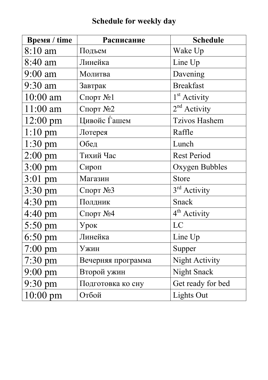## **Schedule for weekly day**

| <b>Время / time</b> | Расписание         | <b>Schedule</b>          |  |  |
|---------------------|--------------------|--------------------------|--|--|
| 8:10 am             | Подъем             | Wake Up                  |  |  |
| 8:40 am             | Линейка            | Line Up                  |  |  |
| 9:00 am             | Молитва            | Davening                 |  |  |
| 9:30 am             | Завтрак            | <b>Breakfast</b>         |  |  |
| 10:00 am            | Спорт №1           | 1 <sup>st</sup> Activity |  |  |
| $11:00$ am          | Спорт №2           | $2nd$ Activity           |  |  |
| $12:00$ pm          | Цивойс Ѓашем       | <b>Tzivos Hashem</b>     |  |  |
| $1:10 \text{ pm}$   | Лотерея            | Raffle                   |  |  |
| $1:30$ pm           | Обед               | Lunch                    |  |  |
| $2:00 \text{ pm}$   | Тихий Час          | <b>Rest Period</b>       |  |  |
| $3:00 \text{ pm}$   | Сироп              | Oxygen Bubbles           |  |  |
| 3:01 pm             | Магазин            | <b>Store</b>             |  |  |
| 3:30 pm             | Спорт №3           | 3 <sup>rd</sup> Activity |  |  |
| 4:30 pm             | Полдник            | <b>Snack</b>             |  |  |
| 4:40 pm             | Спорт №4           | $4th$ Activity           |  |  |
| $5:50 \text{ pm}$   | Урок               | LC                       |  |  |
| $6:50$ pm           | Линейка            | Line Up                  |  |  |
| $7:00 \text{ pm}$   | Ужин               | Supper                   |  |  |
| $7:30$ pm           | Вечерняя программа | Night Activity           |  |  |
| $9:00 \text{ pm}$   | Второй ужин        | Night Snack              |  |  |
| $9:30 \text{ pm}$   | Подготовка ко сну  | Get ready for bed        |  |  |
| $10:00 \text{ pm}$  | Отбой              | Lights Out               |  |  |